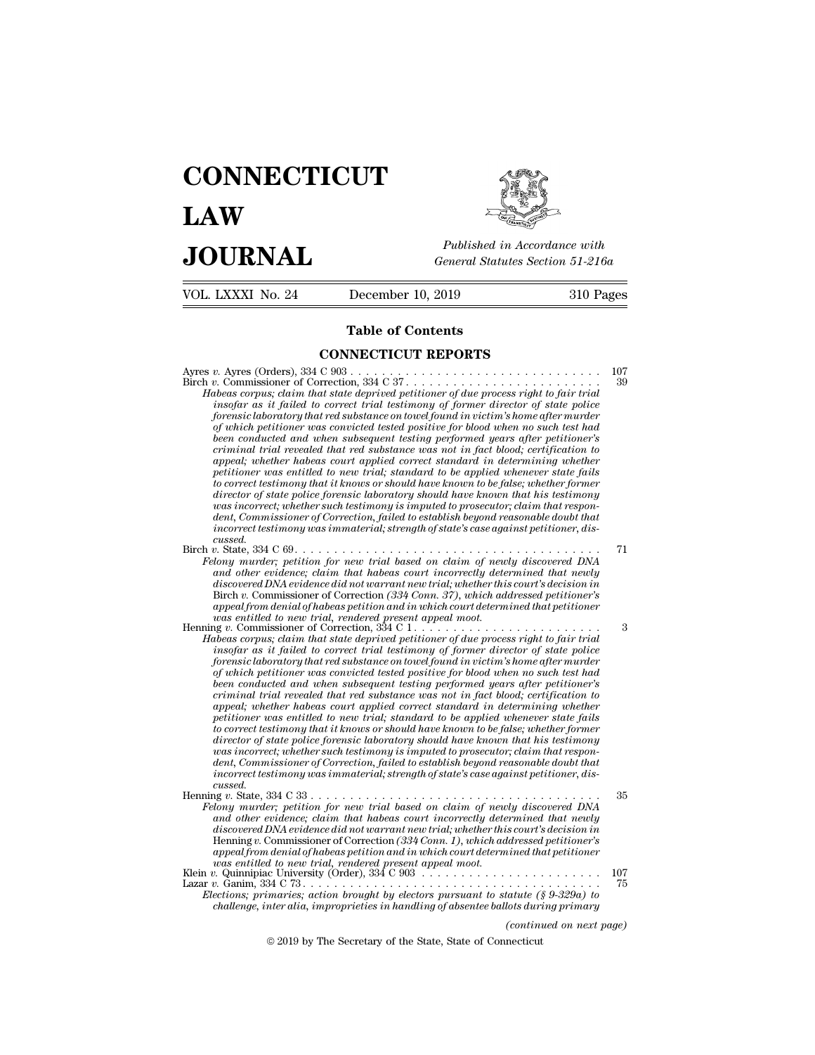## **CONNECTICUT LAW PUBLICE CONNECTICUT**<br> **Published in Accordance with**<br> **JOURNAL** *General Statutes Section 51-216a*<br> **Published in Accordance with** VOL. LXXXI No. 24 December 10, 2019 310 Pages

Published in A.<br>
General Statutes<br>
December 10, 2019<br> **Table of Contents<br>
NECTICUT REPORTS CONNECTICUT REPORTS**

Ayres *v.* Ayres (Orders), 334 C 903 . . . . . . . . . . . . . . . . . . . . . . . . . . . . . . . . <sup>107</sup> Birch *<sup>v</sup>*. Commissioner of Correction, 334 C 37 . . . . . . . . . . . . . . . . . . . . . . . . . <sup>39</sup> **Fable of Contents**<br> **CONNECTICUT REPORTS**<br> *Habeas corpus; claim that state deprived petitioner of due process right to fair trial<br>
<i>Habeas corpus; claim that state deprived petitioner of due process right to fair trial<br> insofar as it failed to correct trial testimony of former director of state police* **for EXECTICUT REPORTS**<br>*forensis (Orders)*, 334 C 903<br>*forensic or forenction, 334 C 37 forensic laboratory that state deprived petitioner of due process right to fair trial*<br>*insofar as it failed to correct trial test of which petitioner was convicted tested positive for blood when no such test had between conducted and when subsequent testing performalistic subsequent testing and the encoducted and when subsequent testimony of former director of state police forensic laboratory that red substance on towel found in criminal trial revealed that red substance was not in fact blood; certification to appeal; whether habeas court applied correct standard in determining whether phetas corpus; claim that state deprived petitioner of due process right to fair trial*<br>insofar as it failed to correct trial testimony of former director of state police<br>forensic laboratory that red substance on towel fo *to the instead to the correct trual testimony of former director of state police forensic laboratory that red substance on towel found in victim's home after murder of which petitioner was convicted tested positive for bl dorensic laboratory that red substance on towel found in victim's home after murder of which petitioner was convicted tested positive for blood when no such test had been conducted and when subsequent testing performed ye a* which petitioner was convicted tested positive for blood when no such test had<br>been conducted and when subsequent testing performed years after petitioner's<br>criminal trial revealed that red substance was not in fact bl been conducted and when subsequent testing performed years after petitioner's<br>criminal trial revealed that red substance was not in fact blood; certification to<br>appeal; whether habeas court applied correct standard in dete *criminal tradi revealed that red substance was not in jact blood; certification to* appeal; whether habeas court applied correct standard in determining whether petitioner was entitled to new trial; standard to be applied *cussed.*<br>Birch v. State, 334 C 69... petitioner was entitled to new trial; standard to be applied whenever state fails<br>to correct testimony that it knows or should have known to be false; whether former<br>director of state police foremsic laboratory should have *Felony murder; petition for new trial based on claim for new trial intergonal murder is the police forensic laboratory should have known that his testimony was increast, whether such testimony is imputed to prosecutor; cl director of state police forensic laboratory should have known that his testimony*<br> *and incorrect; whether such testimony is imputed to prosecutor; claim that respondent, Commissioner of Correction, failed to establish b discorect; whether such testimony is imputed to prosecutor; claim that respondent, Commissioner of Correction, failed to establish beyond reasonable doubt that incorrect testimony was immaterial; strength of state's case* dent, Commissioner of Correction, failed to establish beyond reasonable doubt that<br>incorrect testimony was immaterial; strength of state's case against petitioner, dis-<br>cussed.<br>h v. State, 334 C 69. . . . . . . . . . . . . *incorrect testimony was immaterial; strength of state's case against petitioner, discussed.*<br> *v. State, 334 C 69.*<br> *alony murder; petition for new trial based on claim of newly discovered DNA*<br> *and other evidence; clai cussed.*<br>
Birch v. State, 334 C 69.<br> *Felony murder; petition for new trial based on claim of newly discovered DNA*<br> *and other evidence; claim that habeas court incorrectly determined that newly<br>
discovered DNA evidence Helony murder; petition for new trial based on claim of newly discovered DNA*<br> *and other evidence diant hat habeas court incorrectly determined that newly*<br> *discovered DNA evidence diant warrant new trial, whether this* and other evidence; claim that habeas court incorrectly determined that newly<br>discovered DNA evidence did not warrant new trial; whether this court's decision in<br>Birch v. Commissioner of Correction (334 Comp. 37), which a *discovered DNA evidence did not warrant new trial; whether this court's decision in*<br>Birch v. Commissioner of Correction (334 Conn. 37), which addressed petitioner's<br>appeal from denial of habeas petition and in which cour Birch v. Commissioner of Correction (334 Conn. 37), which addressed petitioner's<br>appeal from denial of habeas petition and in which court determined that petitioner<br>vas entitled to new trial, rendered present appeal mood.<br> *appeal from denial of habeas petition and in which court determined that petitioner*<br>was entitled to new trial, rendered present appeal moot.<br> $\frac{1}{2}$  v. Commissioner of Correction,  $\frac{334 \text{ C}}{1}$ ...................... *criminal trial revealed that red substance was not in fact blood; certification to* appear; when the state deprived petitioner of due process right to fair trial<br>inesa corpus; claim that state deprived petitioner of due process right to fair trial<br>inespfar as it failed to correct trial testimony of forme *pheas corpus; clarm that state deprived petitioner of due process right to fair trial*<br>insofar as it failed to correct trial testimony of former director of state police<br>forensic laboratory that red substance on towelfoun *to correct testimony of former director of state poice* forensic laboratory that red substance on towel found in victim's home after murder of which petitioner was convicted tested positive for blood when no such test had *dorensic laboratory that red substance on towel found in victim's home after murder of which petitioner was convicted tested positive for blood when no such test had been conducted and when subsequent testing performed ye a* which petitioner was convicted tested positive for blood when no such test had<br>been condicted and when subsequent testing performed years after petitioner's<br>criminal trial revealed that red substance was not in fact bl been conducted and when subsequent testing performed years after petitioner's<br>criminal trial revealed that red substance was not in fact blood; certification to<br>appeal; whether habeas court applied correct standard in dete *criminal tradi revealed that red substance was not in fact blood; certification to* appeal; whether habeas court applied correct standard in determining whether petitioner was entitled to new trial; standard to be applied *cussed.*<br>Henning v. State, 334 C 33 . . . . . . . . . petitioner was entitled to new trial; standard to be applied whenever state fails<br>to correct testimony that it knows or should have known to be false; whether former<br>director of state police foremsic laboratory should have *Felony murder; petition for new trial based on claim for new trial superformer*<br>director of state police forensic laboratory should have known that his testimony<br>was incorrect; whether such testimony is imputed to prosecu *director of state police forensic laboratory should have known that his testimony*<br>was incorrect; whether such testimony is imputed to prosecutor; claim that respondent, Commissioner of Correction, failed to establish bey *discorect; whether such testimony is imputed to prosecutor; claim that respondent, Commissioner of Correction, failed to establish beyond reasonable doubt that incorrect testimony was immaterial; strength of state's case* dent, Commissioner of Correction, failed to establish beyond reasonable doubt that<br>incorrect testimony was immaterial; strength of state's case against petitioner, dis-<br>cussed.<br>If  $v$ . State, 334 C 33 . . . . . . . . . . . *appeal from denial of habeas petition and in which court determined that petitioner was entitled to new trial, rendered present appeal moot.* Klein *v.* Quinnipiac University (Order), 334 C 903 . . . . . . . . . . . . . . . . . . . . . . . <sup>107</sup> Lazar *v.* Ganim, 334 C 73 . . . . . . . . . . . . . . . . . . . . . . . . . . . . . . . . . . . . . . <sup>75</sup> and other evidence; claim that habeas court incorrectly determined that newly<br>discovered DNA evidence did not warrant new trial; whether this court's decision in<br>Henning v. Commissioner of Correction (334 Conn. 1), which a discovered DNA evidence did not warrant new trial, whether this court's decision in<br>Henning v. Commissioner of Correction (334 Conn. 1), which addressed petitioner's<br>appeal from denial of habeas petition and in which court

*(indit petitioner*<br> *(g. 9-329a)*<br> *(continued on next page)*<br> *(continued on next page)*<br> *(continued on next page)*<br> **necticut** d to new trial, rendered present appeal moot.<br>  $\text{c}$  University (Order), 334 C 903<br>  $\ldots$ <br>  $\ldots$ <br>  $\ldots$ <br>  $\ldots$ <br>  $\ldots$ <br>  $\ldots$ <br>  $\ldots$ <br>  $\ldots$ <br>  $\ldots$ <br>  $\ldots$ <br>  $\ldots$ <br>  $\ldots$ <br>  $\ldots$ <br>  $\ldots$ <br>  $\ldots$ <br>  $\ldots$ <br>  $\ldots$ <br>  $\ldots$ <br>  $\ldots$ <br>  $\$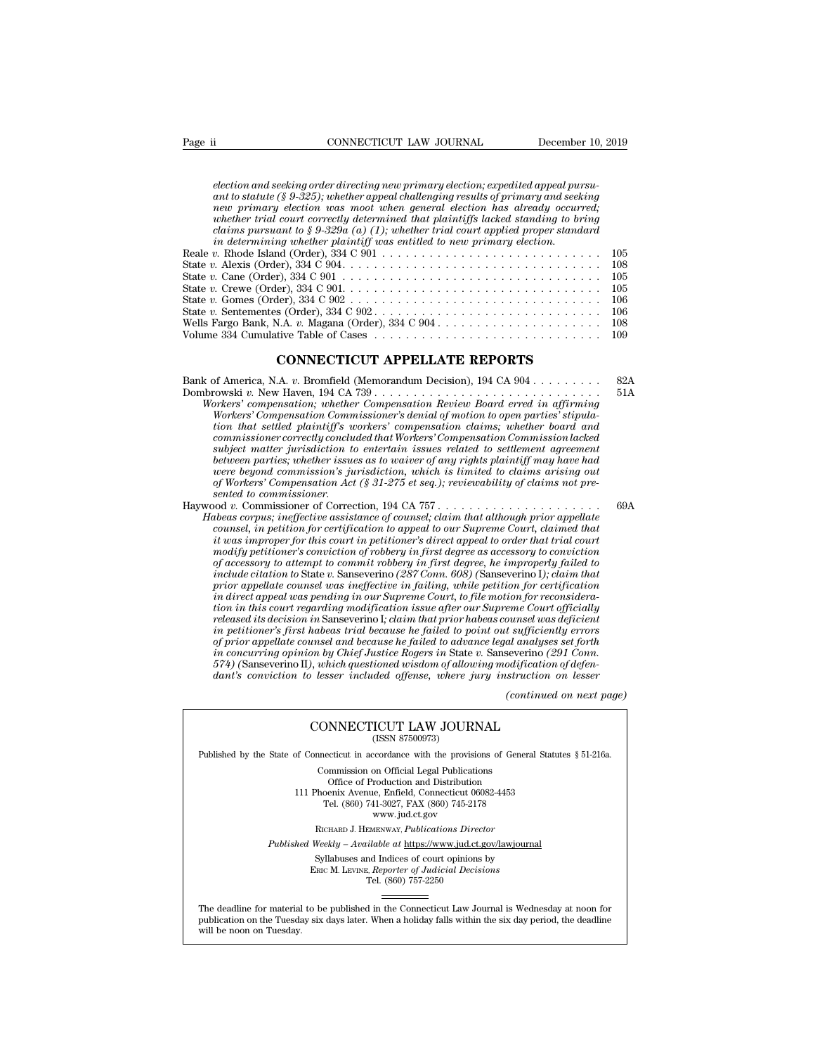*election and seeking order directing new primary election; expedited appeal pursu-*<br> *election and seeking order directing new primary election; expedited appeal pursu-*<br> *ant to statute (§ 9-325); whether appeal challeng a*<br>**ant to statute (§ 9-325); where the statute (§ 9-325); where allerging results of primary and seeking order directing new primary election; expedited appeal pursu-<br>ant to statute (§ 9-325); whether appeal challenging** Page ii CONNECTICUT LAW JOURNAL December 10, 2019<br> *election and seeking order directing new primary election; expedited appeal pursu-*<br> *ant to statute* (*§ 9-325); whether appeal challenging results of primary and seekin whether trial connectly determined that player trial courter trial courter trial correction and seeking order directing new primary election; expedited appeal pursuant to statute (§ 9-325); whether appeal challenging resu clection and seeking order directing new primary election; expedited appeal pursuant to statute (§ 9-325); whether appeal challenging results of primary and seeking new primary election was moot when general election has index*<br> *in determining the directing new primary election; expedited appeal purant to statute (§ 9-325); whether appeal challenging results of primary and seek<br>
new primary election was moot when general election has alr* election and seeking order directing new primary election; expedited appeal pursu-<br>ant to statute (§ 9-325); whether appeal challenging results of primary and seeking<br>new primary election was moot when general election has election and seeking order directing new primary election, expedited appeal pursu-<br>ant to statute (§ 9-325); whether appeal challenging results of primary and seeking<br>new primary election was moot when general election has ant to statute ( $S$  9-325); whenter appeat chatterlying results of primary and seeking<br>
new primary election was moot when general election has already occurred;<br>
whether trial court correctly determined that plaintiffs l

| ней птинати евесноп was тоог инен денегии евесноп наs агтеааи осситтеа.<br>whether trial court correctly determined that plaintiffs lacked standing to bring<br>claims pursuant to § 9-329a (a) (1); whether trial court applied proper standard |      |
|--------------------------------------------------------------------------------------------------------------------------------------------------------------------------------------------------------------------------------------------------|------|
| in determining whether plaintiff was entitled to new primary election.                                                                                                                                                                           |      |
| Reale v. Rhode Island (Order), $334 \text{ C } 901 \ldots \ldots \ldots \ldots \ldots \ldots \ldots \ldots \ldots \ldots \ldots \qquad 105$                                                                                                      |      |
|                                                                                                                                                                                                                                                  |      |
|                                                                                                                                                                                                                                                  | 105  |
|                                                                                                                                                                                                                                                  | 105  |
| State v. Gomes (Order), $334 \text{ C } 902 \ldots \ldots \ldots \ldots \ldots \ldots \ldots \ldots \ldots \ldots \ldots$                                                                                                                        | -106 |
| State v. Sentementes (Order), $334 \text{ C } 902 \ldots \ldots \ldots \ldots \ldots \ldots \ldots \ldots \ldots \ldots 106$                                                                                                                     |      |
| Wells Fargo Bank, N.A. v. Magana (Order), $334 \text{ C } 904 \ldots \ldots \ldots \ldots \ldots \ldots \ldots \ldots \ldots \ldots 108$                                                                                                         |      |
|                                                                                                                                                                                                                                                  |      |
| <b>CONNECTICUT APPELLATE REPORTS</b>                                                                                                                                                                                                             |      |
| Bank of America, N.A. v. Bromfield (Memorandum Decision), $194$ CA $904$                                                                                                                                                                         | 82A  |
|                                                                                                                                                                                                                                                  | 51A  |
| Workers' compensation: whether Compensation Review Board erred in affirming                                                                                                                                                                      |      |

Dombrowski *v.* New Haven, 194 CA 739 . . . . . . . . . . . . . . . . . . . . . . . . . . . . . 51A *Workers'* compensation; W.A. *v.* Magana (Order), 334 C 904<br> **CONNECTICUT APPELLATE REPORTS**<br> **CONNECTICUT APPELLATE REPORTS**<br> **K** of America, N.A. *v.* Bromfield (Memorandum Decision), 194 CA 904......................... *CONNECTICUT APPELLATE REPORTS*<br> *CONNECTICUT APPELLATE REPORTS*<br> *Workers' compensation, whether Compensation Review Board erred in affirming<br>
Workers' Compensation, whether Compensation Review Board erred in affirming<br>
W tion that settled plaintiff's workers' compensation claims; whether board and* **commissioner commissioner correctly concluded that Workers' compensation**<br> *commissioner compensation, whether Compensation Review Board erred in affirming Workers' compensation, whether Compensation Review Board erred in* 

*subject matter jurisdiction to entertain issues related to settlement agreement between parties; whether issues as to waiver of any rights plaintiff may have had were beyond compensation, whether Compensation Review Board erred in affirming*<br>*wheres' compensation Commissioner's denial of motion to open parties' stipula-<br>Workers' Compensation Commissioner's denial of motion to open of Workers' compensation, whether Compensation Review Board erred in affirming Workers' Compensation Commissioner's denial of motion to open parties' stipulation that settled plaintiff's workers' compensation claims; whet Workers' Compensation Commissioner correctly condinations*<br> *subject matter jurisdiction to*<br> *subject matter jurisdiction to*<br> *between parties; whether issue<br>
were beyond commission's ju<br>
of Workers' Compensation Act<br>
s* rom that settled plantity's workers' compensation claims; whether board and<br>
commissioner correctly concluded that Workers' Compensation Commission lacked<br>
subject matter jurisdiction to entertain issues related to settlem *Commissioner correctly concluded that Workers' Compensation Commission lacked*<br> *Habear anter jurisdiction to entertain issues related to settlement agreement<br>
between parties; whether issues as to waiver of any rights pl* 

*counsel matter jurisatetion to entertain issues related to settiement agreement* between parties; whether issues as to waiver of any rights plaintiff may have had of workers' Compensation 's jurisdiction, which is limited *is were between parties; whether issues as to waiver of any rights plaintiff may have had* were beyond commission's jurisdiction, which is limited to claims arising out of Workers' Compensation Act (§ 31-275 et seq.); rev *modify petitioner's conviction of robbery in first degree as accessory to conviction of accessory to attempt to commit robbery in first degree, he improperly failed to include citation to* State *v.* Sanseverino *(287 Conn. 608) (*Sanseverino I*); claim that prior appellate counsel was ineffective in failing, while petition for certification ionsel, in petition for certification to appeal to our Supreme Court, claimed that it was improper for this court in petitioner's direct appeal to our Supreme Court, claimed that in to improper for this court in petitione counsel, in petition for certification to appeal to our Supreme Court, claimed that*<br>*tions improper for this court in petitioner's direct appeal to order that trial court<br>modify petitioner's conviction of robbery in firs rthat was improper jor this court in petitioner's direct appeal to order that trial court* modify petitioner's conviction of robbery in first degree as accessory to conviction of  $\alpha$  accessory to attempt to commit robber *modify petitioner's conviction of robbery in first degree as accessory to conviction*<br>of accessory to attempt to commit robbery in first degree, he improperly failed to<br>include citation to State v. Sanseverino (287 Conn. *of accessory to attempt to commut robbery in first degree, he improperty failed to include citation to State v. Sanseverino (287 Comn. 608) (Sanseverino I); claim that prior appellate counsel was ineffective in failing, w include citation to State v. Sanseverino (287 Conn. 608) (Sanseverino 1); claim that*<br>prior appellate counsel was ineffective in failing, while petition for certification<br>in direct appeal was pending in our Supreme Court, prior appellate counsel was ineffective in failing, while petition for certification<br>in direct appeal was pending in our Supreme Court, to file motion for reconsidera-<br>tion in this court regarding modification issue after *dantive transpeal was pending in our Supreme Court, to jue motion for reconsideration in this court regarding modification issue after our Supreme Court officially released its decision in Sanseverino I; claim that prior*  $\emph{conver}$  and  $\emph{adjacent}$ <br>  $\emph{adjacent}$  analyses set forth<br>  $\emph{codification of defen-}$ <br>  $\emph{dofification of defen-}$ <br>  $\emph{dofentinued on next page}$ habeas trial because he failed to point out sufficiently<br>
unsel and because he failed to advance legal analyses so<br>
on by Chief Justice Rogers in State v. Sanseverino (291<br>
), which questioned wisdom of allowing modificati  $574$ ) (Sanseverino II), which questioned wisdom of allowing modification of defendant's conviction to lesser included offense, where jury instruction on lesser  $\sim$  (continued on next (continued on next CONNECTICUT LAW J

# $\begin{tabular}{l|l|l} \hline & (continued on next page) \\ \hline (CONNECTICUT LAW JOURNAL \\ (ISSN 87500973) \\ \hline \end{tabular}$  \hline \begin{tabular}{l|l|l|} \hline \multicolumn{3}{c}{\text{Published by the State of Connecticut in accordance with the provisions of General Statistics § 51-216a.} \\ \hline \multicolumn{3}{c}{\text{Commission on Official Legal Publications}} \\ \hline \end{tabular}

CONNECTICUT LAW JOURNAL<br>
(ISSN 87500973)<br>
inecticut in accordance with the provisions of Gener<br>
Commission on Official Legal Publications<br>
Office of Production and Distribution<br>
office of Production and Distribution **NNECTICUT LAW JOURNAL**<br>
(ISSN 87500973)<br>
cticut in accordance with the provisions of Gener<br>
mmission on Official Legal Publications<br>
Office of Production and Distribution<br>
centra Avenue, Enfield, Connecticut 06082-4453<br>
b CONNECTICUT LAW JOURNAL<br>
(ISSN 87500973)<br>
of Connecticut in accordance with the provisions of General Statu<br>
Commission on Official Legal Publications<br>
Office of Production and Distribution<br>
111 Phoenix Avenue, Enfield, Co (ISSN 87500973)<br>ecticut in accordance with the provisions of Gener<br>ommission on Official Legal Publications<br>Office of Production and Distribution<br>oenix Avenue, Enfield, Connecticut 06082-4453<br>Tel. (860) 741-3027, FAX (860 reordance with the provision<br>on Official Legal Publication<br>roduction and Distribution<br>e, Enfield, Connecticut 06<br>11-3027, FAX (860) 745-21'<br>www.jud.ct.gov<br>zENWAY, *Publications Dire* Rommission on Official Legal Publications<br>
Office of Production and Distribution<br>
Phoenix Avenue, Enfield, Connecticut 06082-4453<br>
Tel. (860) 741-3027, FAX (860) 745-2178<br>
www.jud.ct.gov<br>
RICHARD J. HEMENWAY, Publications Office of Production and Distribution<br>
111 Phoenix Avenue, Enfield, Connecticut 06082-4453<br>
Tel. (860) 741-3027, FAX (860) 745-2178<br>
www.jud.ct.gov<br>
RICHARD J. HEMENWAY, *Publications Director*<br> *Published Weekly – Availab* Phoenix Avenue, Enfield, Connecticut 06082-4453<br>
Tel. (860) 741-3027, FAX (860) 745-2178<br>
www.jud.ct.gov<br>
RICHARD J. HEMENWAY, *Publications Director*<br>
Weekly – Available at <u>https://www.jud.ct.gov/lawjourna</u><br>
Syllabuses a

 $\begin{array}{c} \text{www. jud.ct.gov} \\ \text{RICHARD J. HEMENTway, *Publications Director} \\ \text{Weekly - Available at <a href="https://www.jud.ct.gov/}{https://www.jud.ct.gov/}{https://www.jud.ct.gov/}{\small Syllabuses} \text{ and Indices of court opinions by} \\ \text{Enc}\text{ M. Lewis, } \text{Reporter of <i>Judicial Decisions} \\ \text{ Tel. (860) 757-2250} \end{array}*$ 

Published Weekly – Available at https://www.jud.ct.gov/lawjournal<br>Syllabuses and Indices of court opinions by<br>ERIC M. LEVINE, Reporter of Judicial Decisions<br>The deadline for material to be published in the Connecticut Law  $\begin{tabular}{l} \bf Syllabuses\ and\ Indices\ of\ court\ opinions\ by\\ \bf Enc\ M.\ LevINE,\ \textit{Reporter of\ Judicial\ Decisions}\\ \bf Tel.\ (860)\ 757-2250\\ \end{tabular}$  <br> The deadline for material to be published in the Connecticut Law Journal is Wednesday at noon for publication on the Tuesday six days later The deadline for material<br>publication on the Tuesday.<br>will be noon on Tuesday.